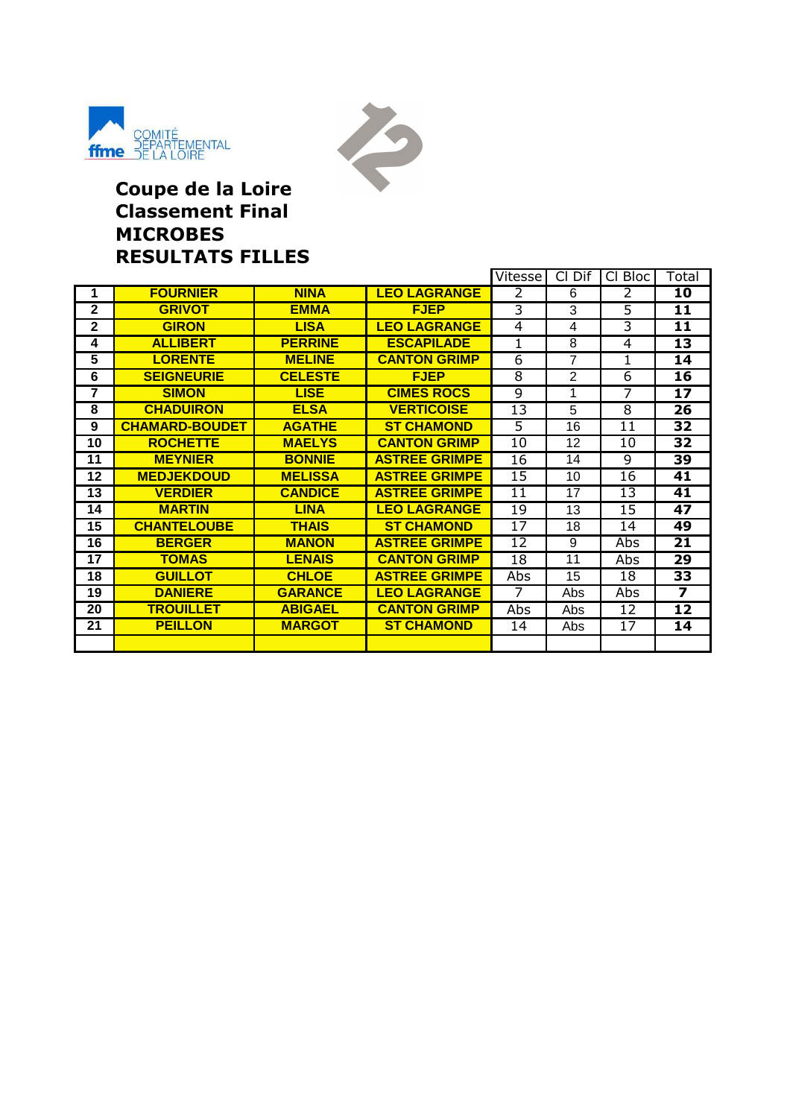



#### **Coupe de la Loire Classement Final MICROBES RESULTATS FILLES**

|                |                       |                |                      | Vitesse        | Cl Dif         | CI Bloc        | Total                   |
|----------------|-----------------------|----------------|----------------------|----------------|----------------|----------------|-------------------------|
| 1              | <b>FOURNIER</b>       | <b>NINA</b>    | <b>LEO LAGRANGE</b>  | 2              | 6              | 2              | 10                      |
| $\overline{2}$ | <b>GRIVOT</b>         | <b>EMMA</b>    | <b>FJEP</b>          | $\overline{3}$ | $\overline{3}$ | $\overline{5}$ | 11                      |
| $\overline{2}$ | <b>GIRON</b>          | <b>LISA</b>    | <b>LEO LAGRANGE</b>  | 4              | 4              | $\overline{3}$ | 11                      |
| 4              | <b>ALLIBERT</b>       | <b>PERRINE</b> | <b>ESCAPILADE</b>    | 1              | 8              | 4              | $\overline{13}$         |
| 5              | <b>LORENTE</b>        | <b>MELINE</b>  | <b>CANTON GRIMP</b>  | 6              | $\overline{7}$ | 1              | 14                      |
| 6              | <b>SEIGNEURIE</b>     | <b>CELESTE</b> | <b>FJEP</b>          | 8              | $\overline{2}$ | 6              | 16                      |
| 7              | <b>SIMON</b>          | <b>LISE</b>    | <b>CIMES ROCS</b>    | 9              | 1              | 7              | 17                      |
| 8              | <b>CHADUIRON</b>      | <b>ELSA</b>    | <b>VERTICOISE</b>    | 13             | 5              | $\overline{8}$ | $\overline{26}$         |
| 9              | <b>CHAMARD-BOUDET</b> | <b>AGATHE</b>  | <b>ST CHAMOND</b>    | 5              | 16             | 11             | 32                      |
| 10             | <b>ROCHETTE</b>       | <b>MAELYS</b>  | <b>CANTON GRIMP</b>  | 10             | 12             | 10             | 32                      |
| 11             | <b>MEYNIER</b>        | <b>BONNIE</b>  | <b>ASTREE GRIMPE</b> | 16             | 14             | 9              | $\overline{39}$         |
| 12             | <b>MEDJEKDOUD</b>     | <b>MELISSA</b> | <b>ASTREE GRIMPE</b> | 15             | 10             | 16             | 41                      |
| 13             | <b>VERDIER</b>        | <b>CANDICE</b> | <b>ASTREE GRIMPE</b> | 11             | 17             | 13             | 41                      |
| 14             | <b>MARTIN</b>         | <b>LINA</b>    | <b>LEO LAGRANGE</b>  | 19             | 13             | 15             | 47                      |
| 15             | <b>CHANTELOUBE</b>    | <b>THAIS</b>   | <b>ST CHAMOND</b>    | 17             | 18             | 14             | 49                      |
| 16             | <b>BERGER</b>         | <b>MANON</b>   | <b>ASTREE GRIMPE</b> | 12             | 9              | Abs            | 21                      |
| 17             | <b>TOMAS</b>          | <b>LENAIS</b>  | <b>CANTON GRIMP</b>  | 18             | 11             | Abs            | 29                      |
| 18             | <b>GUILLOT</b>        | <b>CHLOE</b>   | <b>ASTREE GRIMPE</b> | Abs            | 15             | 18             | 33                      |
| 19             | <b>DANIERE</b>        | <b>GARANCE</b> | <b>LEO LAGRANGE</b>  | $\overline{7}$ | Abs            | Abs            | $\overline{\mathbf{z}}$ |
| 20             | <b>TROUILLET</b>      | <b>ABIGAEL</b> | <b>CANTON GRIMP</b>  | Abs            | Abs            | 12             | 12                      |
| 21             | <b>PEILLON</b>        | <b>MARGOT</b>  | <b>ST CHAMOND</b>    | 14             | Abs            | 17             | 14                      |
|                |                       |                |                      |                |                |                |                         |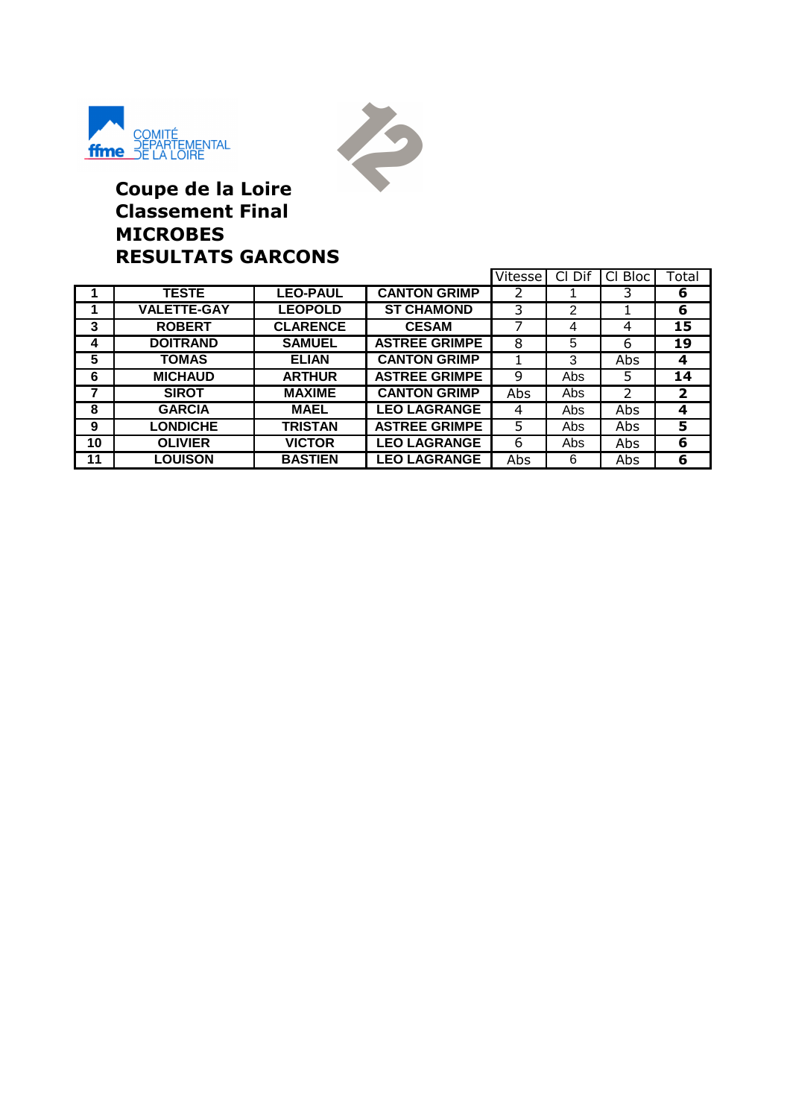



## **Coupe de la Loire Classement Final MICROBES RESULTATS GARCONS**

|    |                    |                 |                      | Vitesse | Cl Dif | СI<br><b>Bloc</b> | Total        |
|----|--------------------|-----------------|----------------------|---------|--------|-------------------|--------------|
|    | <b>TESTE</b>       | <b>LEO-PAUL</b> | <b>CANTON GRIMP</b>  | 2       |        |                   | 6            |
|    | <b>VALETTE-GAY</b> | <b>LEOPOLD</b>  | <b>ST CHAMOND</b>    | 3       | 2      |                   | 6            |
| 3  | <b>ROBERT</b>      | <b>CLARENCE</b> | <b>CESAM</b>         |         | 4      | 4                 | 15           |
| 4  | <b>DOITRAND</b>    | <b>SAMUEL</b>   | <b>ASTREE GRIMPE</b> | 8       | 5      | 6                 | 19           |
| 5  | <b>TOMAS</b>       | <b>ELIAN</b>    | <b>CANTON GRIMP</b>  |         | 3      | Abs               | 4            |
| 6  | <b>MICHAUD</b>     | <b>ARTHUR</b>   | <b>ASTREE GRIMPE</b> | 9       | Abs    | 5                 | 14           |
| 7  | <b>SIROT</b>       | <b>MAXIME</b>   | <b>CANTON GRIMP</b>  | Abs     | Abs    | $\mathcal{P}$     | $\mathbf{2}$ |
| 8  | <b>GARCIA</b>      | <b>MAEL</b>     | <b>LEO LAGRANGE</b>  | 4       | Abs    | Abs               | 4            |
| 9  | <b>LONDICHE</b>    | <b>TRISTAN</b>  | <b>ASTREE GRIMPE</b> | 5       | Abs    | Abs               | 5            |
| 10 | <b>OLIVIER</b>     | <b>VICTOR</b>   | <b>LEO LAGRANGE</b>  | 6       | Abs    | Abs               | 6            |
| 11 | <b>LOUISON</b>     | <b>BASTIEN</b>  | <b>LEO LAGRANGE</b>  | Abs     | 6      | Abs               | 6            |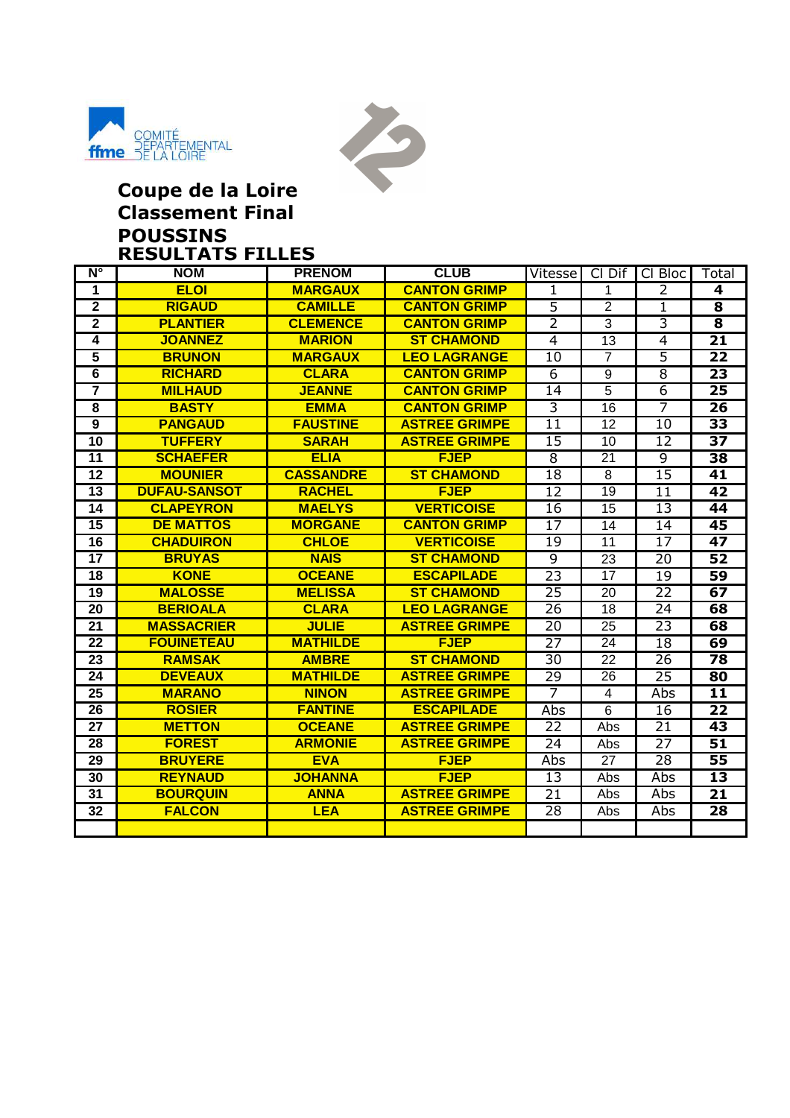



#### **Coupe de la Loire Classement Final POUSSINS RESULTATS FILLES**

| $N^{\circ}$             | <b>NOM</b>          | <b>PRENOM</b>    | <b>CLUB</b>          | Vitesse         | Cl Dif          | CI Bloc         | Total                   |
|-------------------------|---------------------|------------------|----------------------|-----------------|-----------------|-----------------|-------------------------|
| 1                       | <b>ELOI</b>         | <b>MARGAUX</b>   | <b>CANTON GRIMP</b>  | 1.              | 1               | $\overline{2}$  | 4                       |
| $\overline{2}$          | <b>RIGAUD</b>       | <b>CAMILLE</b>   | <b>CANTON GRIMP</b>  | $\overline{5}$  | $\overline{2}$  | 1               | $\overline{\mathbf{8}}$ |
| $\overline{2}$          | <b>PLANTIER</b>     | <b>CLEMENCE</b>  | <b>CANTON GRIMP</b>  | $\overline{2}$  | 3               | $\overline{3}$  | 8                       |
| 4                       | <b>JOANNEZ</b>      | <b>MARION</b>    | <b>ST CHAMOND</b>    | $\overline{4}$  | $\overline{13}$ | $\overline{4}$  | $\overline{21}$         |
| $\overline{5}$          | <b>BRUNON</b>       | <b>MARGAUX</b>   | <b>LEO LAGRANGE</b>  | $\overline{10}$ | $\overline{7}$  | $\overline{5}$  | $\overline{22}$         |
| $\overline{6}$          | <b>RICHARD</b>      | <b>CLARA</b>     | <b>CANTON GRIMP</b>  | $\overline{6}$  | 9               | $\overline{8}$  | $\overline{23}$         |
| $\overline{\mathbf{7}}$ | <b>MILHAUD</b>      | <b>JEANNE</b>    | <b>CANTON GRIMP</b>  | 14              | $\overline{5}$  | $\overline{6}$  | 25                      |
| $\overline{\mathbf{8}}$ | <b>BASTY</b>        | <b>EMMA</b>      | <b>CANTON GRIMP</b>  | $\overline{3}$  | 16              | $\overline{7}$  | 26                      |
| $\overline{9}$          | <b>PANGAUD</b>      | <b>FAUSTINE</b>  | <b>ASTREE GRIMPE</b> | $\overline{11}$ | 12              | $\overline{10}$ | $\overline{33}$         |
| 10                      | <b>TUFFERY</b>      | <b>SARAH</b>     | <b>ASTREE GRIMPE</b> | 15              | 10              | 12              | 37                      |
| 11                      | <b>SCHAEFER</b>     | <b>ELIA</b>      | <b>FJEP</b>          | 8               | 21              | 9               | 38                      |
| $\overline{12}$         | <b>MOUNIER</b>      | <b>CASSANDRE</b> | <b>ST CHAMOND</b>    | $\overline{18}$ | $\overline{8}$  | $\overline{15}$ | 41                      |
| $\overline{13}$         | <b>DUFAU-SANSOT</b> | <b>RACHEL</b>    | <b>FJEP</b>          | $\overline{12}$ | $\overline{19}$ | $\overline{11}$ | $\overline{42}$         |
| 14                      | <b>CLAPEYRON</b>    | <b>MAELYS</b>    | <b>VERTICOISE</b>    | 16              | 15              | 13              | 44                      |
| 15                      | <b>DE MATTOS</b>    | <b>MORGANE</b>   | <b>CANTON GRIMP</b>  | 17              | 14              | 14              | 45                      |
| 16                      | <b>CHADUIRON</b>    | <b>CHLOE</b>     | <b>VERTICOISE</b>    | 19              | 11              | 17              | $\overline{47}$         |
| $\overline{17}$         | <b>BRUYAS</b>       | <b>NAIS</b>      | <b>ST CHAMOND</b>    | व               | $\overline{23}$ | $\overline{20}$ | $\overline{52}$         |
| 18                      | <b>KONE</b>         | <b>OCEANE</b>    | <b>ESCAPILADE</b>    | $\overline{23}$ | 17              | 19              | 59                      |
| $\overline{19}$         | <b>MALOSSE</b>      | <b>MELISSA</b>   | <b>ST CHAMOND</b>    | 25              | 20              | $\overline{22}$ | 67                      |
| $\overline{20}$         | <b>BERIOALA</b>     | <b>CLARA</b>     | <b>LEO LAGRANGE</b>  | 26              | 18              | 24              | 68                      |
| $\overline{21}$         | <b>MASSACRIER</b>   | <b>JULIE</b>     | <b>ASTREE GRIMPE</b> | 20              | $\overline{25}$ | 23              | 68                      |
| 22                      | <b>FOUINETEAU</b>   | <b>MATHILDE</b>  | <b>FJEP</b>          | $\overline{27}$ | 24              | $\overline{18}$ | 69                      |
| 23                      | <b>RAMSAK</b>       | <b>AMBRE</b>     | <b>ST CHAMOND</b>    | 30              | 22              | $\overline{26}$ | 78                      |
| 24                      | <b>DEVEAUX</b>      | <b>MATHILDE</b>  | <b>ASTREE GRIMPE</b> | 29              | 26              | 25              | 80                      |
| 25                      | <b>MARANO</b>       | <b>NINON</b>     | <b>ASTREE GRIMPE</b> | 7               | 4               | Abs             | 11                      |
| $\overline{26}$         | <b>ROSIER</b>       | <b>FANTINE</b>   | <b>ESCAPILADE</b>    | Abs             | $\overline{6}$  | $\overline{16}$ | $\overline{22}$         |
| 27                      | <b>METTON</b>       | <b>OCEANE</b>    | <b>ASTREE GRIMPE</b> | 22              | Abs             | $\overline{21}$ | 43                      |
| $\overline{28}$         | <b>FOREST</b>       | <b>ARMONIE</b>   | <b>ASTREE GRIMPE</b> | $\overline{24}$ | Abs             | $\overline{27}$ | $\overline{51}$         |
| 29                      | <b>BRUYERE</b>      | <b>EVA</b>       | <b>FJEP</b>          | Abs             | 27              | 28              | 55                      |
| 30                      | <b>REYNAUD</b>      | <b>JOHANNA</b>   | <b>FJEP</b>          | $\overline{13}$ | Abs             | Abs             | $\overline{13}$         |
| 31                      | <b>BOURQUIN</b>     | <b>ANNA</b>      | <b>ASTREE GRIMPE</b> | 21              | Abs             | Abs             | 21                      |
| 32                      | <b>FALCON</b>       | <b>LEA</b>       | <b>ASTREE GRIMPE</b> | 28              | Abs             | Abs             | 28                      |
|                         |                     |                  |                      |                 |                 |                 |                         |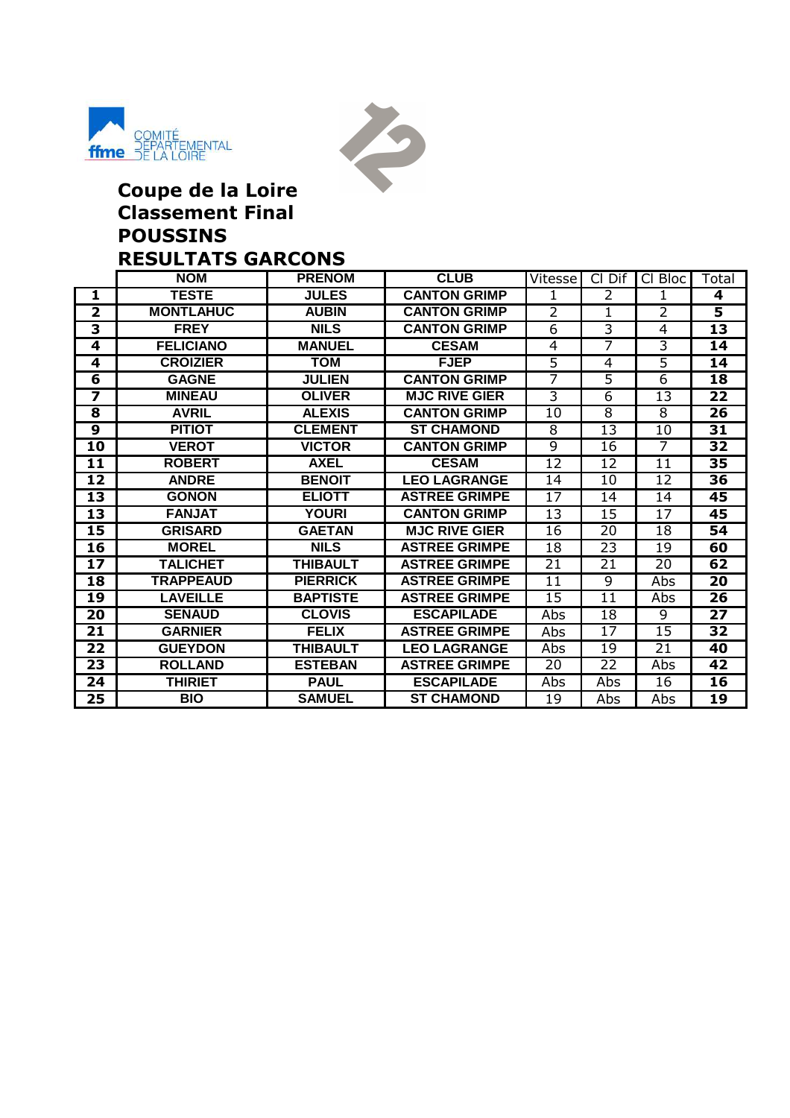



## **Coupe de la Loire Classement Final POUSSINS RESULTATS GARCONS**

|                         | <b>NOM</b>       | <b>PRENOM</b>   | <b>CLUB</b>          | Vitesse         | Cl Dif          | Cl Bloc         | Total                   |
|-------------------------|------------------|-----------------|----------------------|-----------------|-----------------|-----------------|-------------------------|
| 1                       | <b>TESTE</b>     | <b>JULES</b>    | <b>CANTON GRIMP</b>  | 1               | 2               | 1               | 4                       |
| $\overline{2}$          | <b>MONTLAHUC</b> | <b>AUBIN</b>    | <b>CANTON GRIMP</b>  | $\overline{2}$  | 1               | $\overline{2}$  | $\overline{\mathbf{5}}$ |
| $\overline{\mathbf{3}}$ | <b>FREY</b>      | <b>NILS</b>     | <b>CANTON GRIMP</b>  | 6               | $\overline{3}$  | 4               | 13                      |
| 4                       | <b>FELICIANO</b> | <b>MANUEL</b>   | <b>CESAM</b>         | 4               | 7               | 3               | 14                      |
| 4                       | <b>CROIZIER</b>  | <b>TOM</b>      | <b>FJEP</b>          | $\overline{5}$  | 4               | $\overline{5}$  | 14                      |
| $6\overline{6}$         | <b>GAGNE</b>     | <b>JULIEN</b>   | <b>CANTON GRIMP</b>  | 7               | $\overline{5}$  | $\overline{6}$  | 18                      |
| $\overline{\mathbf{z}}$ | <b>MINEAU</b>    | <b>OLIVER</b>   | <b>MJC RIVE GIER</b> | $\overline{3}$  | 6               | 13              | 22                      |
| 8                       | <b>AVRIL</b>     | <b>ALEXIS</b>   | <b>CANTON GRIMP</b>  | 10              | $\overline{8}$  | 8               | 26                      |
| $\overline{9}$          | <b>PITIOT</b>    | <b>CLEMENT</b>  | <b>ST CHAMOND</b>    | 8               | $\overline{13}$ | 10              | 31                      |
| 10                      | <b>VEROT</b>     | <b>VICTOR</b>   | <b>CANTON GRIMP</b>  | 9               | 16              | 7               | 32                      |
| 11                      | <b>ROBERT</b>    | <b>AXEL</b>     | <b>CESAM</b>         | 12              | 12              | 11              | 35                      |
| 12                      | <b>ANDRE</b>     | <b>BENOIT</b>   | <b>LEO LAGRANGE</b>  | 14              | 10              | 12              | 36                      |
| $\overline{13}$         | <b>GONON</b>     | <b>ELIOTT</b>   | <b>ASTREE GRIMPE</b> | $\overline{17}$ | $\overline{14}$ | $\overline{14}$ | 45                      |
| 13                      | <b>FANJAT</b>    | <b>YOURI</b>    | <b>CANTON GRIMP</b>  | 13              | 15              | 17              | 45                      |
| 15                      | <b>GRISARD</b>   | <b>GAETAN</b>   | <b>MJC RIVE GIER</b> | 16              | 20              | 18              | 54                      |
| 16                      | <b>MOREL</b>     | <b>NILS</b>     | <b>ASTREE GRIMPE</b> | 18              | 23              | 19              | 60                      |
| $\overline{17}$         | <b>TALICHET</b>  | <b>THIBAULT</b> | <b>ASTREE GRIMPE</b> | $\overline{21}$ | 21              | 20              | 62                      |
| 18                      | <b>TRAPPEAUD</b> | <b>PIERRICK</b> | <b>ASTREE GRIMPE</b> | 11              | $\overline{9}$  | Abs             | 20                      |
| 19                      | <b>LAVEILLE</b>  | <b>BAPTISTE</b> | <b>ASTREE GRIMPE</b> | 15              | 11              | Abs             | 26                      |
| 20                      | <b>SENAUD</b>    | <b>CLOVIS</b>   | <b>ESCAPILADE</b>    | Abs             | 18              | 9               | 27                      |
| 21                      | <b>GARNIER</b>   | <b>FELIX</b>    | <b>ASTREE GRIMPE</b> | Abs             | $\overline{17}$ | $\overline{15}$ | $\overline{32}$         |
| 22                      | <b>GUEYDON</b>   | <b>THIBAULT</b> | <b>LEO LAGRANGE</b>  | Abs             | 19              | 21              | 40                      |
| 23                      | <b>ROLLAND</b>   | <b>ESTEBAN</b>  | <b>ASTREE GRIMPE</b> | 20              | 22              | Abs             | 42                      |
| 24                      | <b>THIRIET</b>   | <b>PAUL</b>     | <b>ESCAPILADE</b>    | Abs             | Abs             | 16              | 16                      |
| 25                      | <b>BIO</b>       | <b>SAMUEL</b>   | <b>ST CHAMOND</b>    | 19              | Abs             | Abs             | 19                      |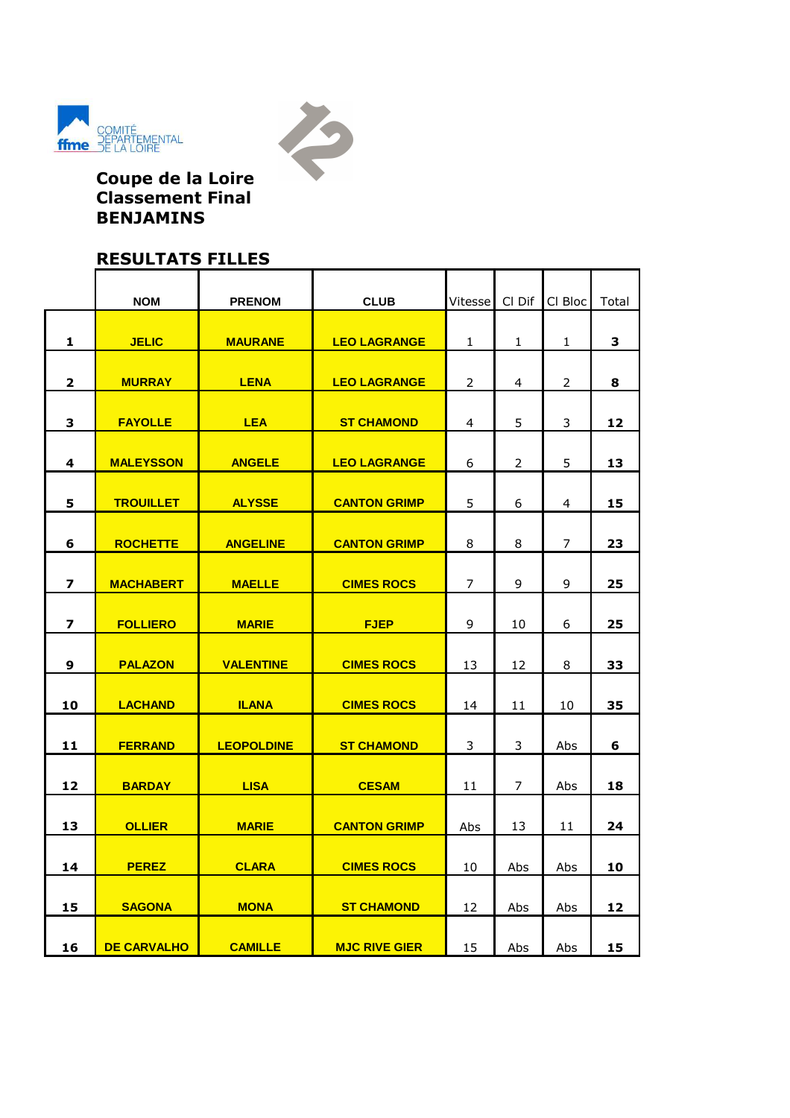



**Coupe de la Loire Classement Final BENJAMINS**

# **RESULTATS FILLES**

|                         | <b>NOM</b>         | <b>PRENOM</b>     | <b>CLUB</b>          | Vitesse      | Cl Dif         | CI Bloc        | Total |
|-------------------------|--------------------|-------------------|----------------------|--------------|----------------|----------------|-------|
|                         |                    |                   |                      |              |                |                |       |
| 1                       | <b>JELIC</b>       | <b>MAURANE</b>    | <b>LEO LAGRANGE</b>  | $\mathbf{1}$ | $\mathbf{1}$   | 1              | 3     |
| $\mathbf 2$             | <b>MURRAY</b>      | <b>LENA</b>       | <b>LEO LAGRANGE</b>  | 2            | $\overline{4}$ | $\overline{2}$ | 8     |
| 3                       | <b>FAYOLLE</b>     | <b>LEA</b>        | <b>ST CHAMOND</b>    | 4            | 5              | $\mathsf{3}$   | 12    |
| 4                       | <b>MALEYSSON</b>   | <b>ANGELE</b>     | <b>LEO LAGRANGE</b>  | 6            | 2              | 5              | 13    |
|                         |                    |                   |                      |              |                |                |       |
| 5                       | <b>TROUILLET</b>   | <b>ALYSSE</b>     | <b>CANTON GRIMP</b>  | 5            | 6              | 4              | 15    |
| 6                       | <b>ROCHETTE</b>    | <b>ANGELINE</b>   | <b>CANTON GRIMP</b>  | 8            | 8              | $\overline{7}$ | 23    |
| 7                       | <b>MACHABERT</b>   | <b>MAELLE</b>     | <b>CIMES ROCS</b>    | 7            | 9              | 9              | 25    |
|                         |                    |                   |                      |              |                |                |       |
| $\overline{\mathbf{z}}$ | <b>FOLLIERO</b>    | <b>MARIE</b>      | <b>FJEP</b>          | 9            | 10             | 6              | 25    |
| 9                       | <b>PALAZON</b>     | <b>VALENTINE</b>  | <b>CIMES ROCS</b>    | 13           | 12             | 8              | 33    |
| 10                      | <b>LACHAND</b>     | <b>ILANA</b>      | <b>CIMES ROCS</b>    | 14           | 11             | 10             | 35    |
| 11                      | <b>FERRAND</b>     | <b>LEOPOLDINE</b> | <b>ST CHAMOND</b>    | 3            | 3              | Abs            | 6     |
|                         |                    |                   |                      |              |                |                |       |
| 12                      | <b>BARDAY</b>      | <b>LISA</b>       | <b>CESAM</b>         | 11           | $\overline{7}$ | Abs            | 18    |
| 13                      | <b>OLLIER</b>      | <b>MARIE</b>      | <b>CANTON GRIMP</b>  | Abs          | 13             | 11             | 24    |
|                         |                    |                   |                      |              |                |                |       |
| 14                      | <b>PEREZ</b>       | <b>CLARA</b>      | <b>CIMES ROCS</b>    | 10           | Abs            | Abs            | 10    |
| 15                      | <b>SAGONA</b>      | <b>MONA</b>       | <b>ST CHAMOND</b>    | 12           | Abs            | Abs            | 12    |
| 16                      | <b>DE CARVALHO</b> | <b>CAMILLE</b>    | <b>MJC RIVE GIER</b> | 15           | Abs            | Abs            | 15    |